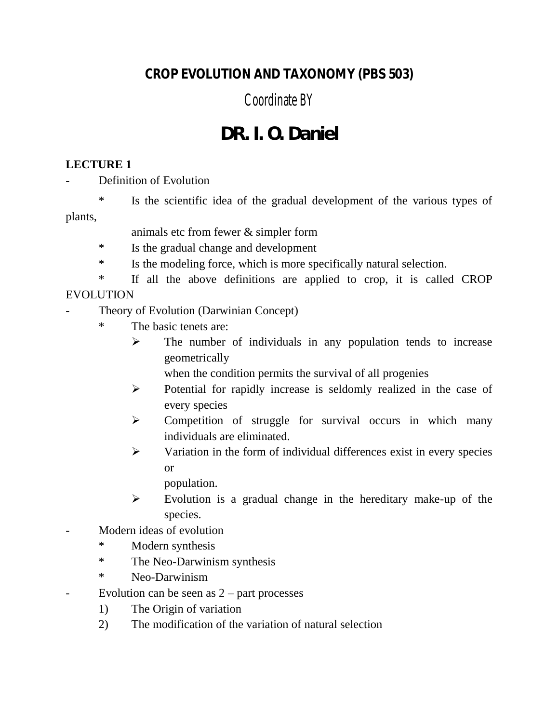### **CROP EVOLUTION AND TAXONOMY (PBS 503)**

## Coordinate BY

# **DR. I. O. Daniel**

#### **LECTURE 1**

Definition of Evolution

\* Is the scientific idea of the gradual development of the various types of plants,

- animals etc from fewer & simpler form
- \* Is the gradual change and development
- \* Is the modeling force, which is more specifically natural selection.

\* If all the above definitions are applied to crop, it is called CROP EVOLUTION

- Theory of Evolution (Darwinian Concept)
	- \* The basic tenets are:
		- $\triangleright$  The number of individuals in any population tends to increase geometrically

when the condition permits the survival of all progenies

- $\triangleright$  Potential for rapidly increase is seldomly realized in the case of every species
- > Competition of struggle for survival occurs in which many individuals are eliminated.
- $\triangleright$  Variation in the form of individual differences exist in every species or

population.

- $\triangleright$  Evolution is a gradual change in the hereditary make-up of the species.
- Modern ideas of evolution
	- \* Modern synthesis
	- \* The Neo-Darwinism synthesis
	- \* Neo-Darwinism
- Evolution can be seen as  $2$  part processes
	- 1) The Origin of variation
	- 2) The modification of the variation of natural selection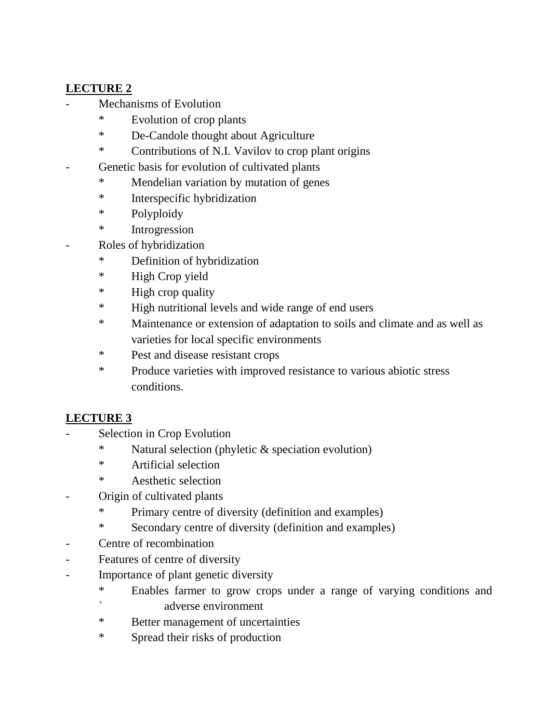#### **LECTURE 2**

- Mechanisms of Evolution
	- \* Evolution of crop plants
	- \* De-Candole thought about Agriculture
	- \* Contributions of N.I. Vavilov to crop plant origins
- Genetic basis for evolution of cultivated plants
	- \* Mendelian variation by mutation of genes
	- \* Interspecific hybridization
	- \* Polyploidy
	- \* Introgression
- Roles of hybridization
	- \* Definition of hybridization
	- \* High Crop yield
	- \* High crop quality
	- \* High nutritional levels and wide range of end users
	- \* Maintenance or extension of adaptation to soils and climate and as well as varieties for local specific environments
	- \* Pest and disease resistant crops
	- \* Produce varieties with improved resistance to various abiotic stress conditions.

#### **LECTURE 3**

- Selection in Crop Evolution
	- \* Natural selection (phyletic & speciation evolution)
	- \* Artificial selection
	- \* Aesthetic selection
- Origin of cultivated plants
	- \* Primary centre of diversity (definition and examples)
	- \* Secondary centre of diversity (definition and examples)
- Centre of recombination
- Features of centre of diversity
- Importance of plant genetic diversity
	- \* Enables farmer to grow crops under a range of varying conditions and ` adverse environment
	- \* Better management of uncertainties
	- \* Spread their risks of production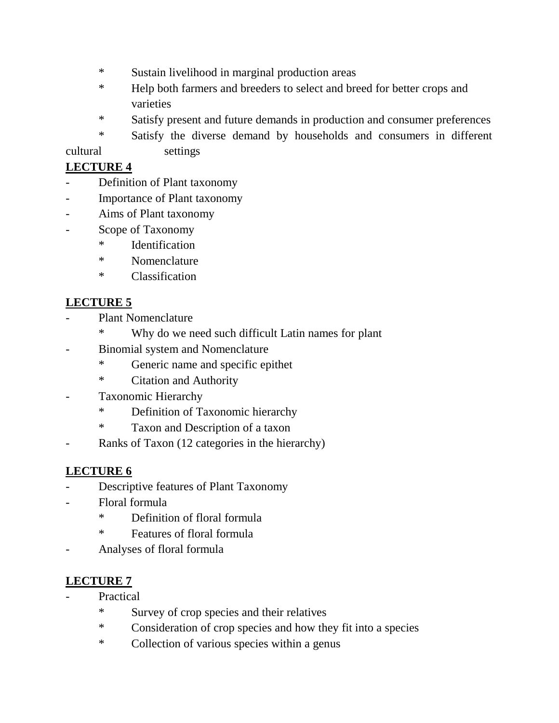- \* Sustain livelihood in marginal production areas
- \* Help both farmers and breeders to select and breed for better crops and varieties
- \* Satisfy present and future demands in production and consumer preferences
- \* Satisfy the diverse demand by households and consumers in different cultural settings

#### **LECTURE 4**

- Definition of Plant taxonomy
- Importance of Plant taxonomy
- Aims of Plant taxonomy
- Scope of Taxonomy
	- \* Identification
	- \* Nomenclature
	- \* Classification

#### **LECTURE 5**

- Plant Nomenclature
	- \* Why do we need such difficult Latin names for plant
- Binomial system and Nomenclature
	- \* Generic name and specific epithet
	- \* Citation and Authority
- Taxonomic Hierarchy
	- \* Definition of Taxonomic hierarchy
	- \* Taxon and Description of a taxon
- Ranks of Taxon (12 categories in the hierarchy)

#### **LECTURE 6**

- Descriptive features of Plant Taxonomy
- Floral formula
	- \* Definition of floral formula
	- \* Features of floral formula
- Analyses of floral formula

#### **LECTURE 7**

- **Practical** 
	- \* Survey of crop species and their relatives
	- \* Consideration of crop species and how they fit into a species
	- \* Collection of various species within a genus